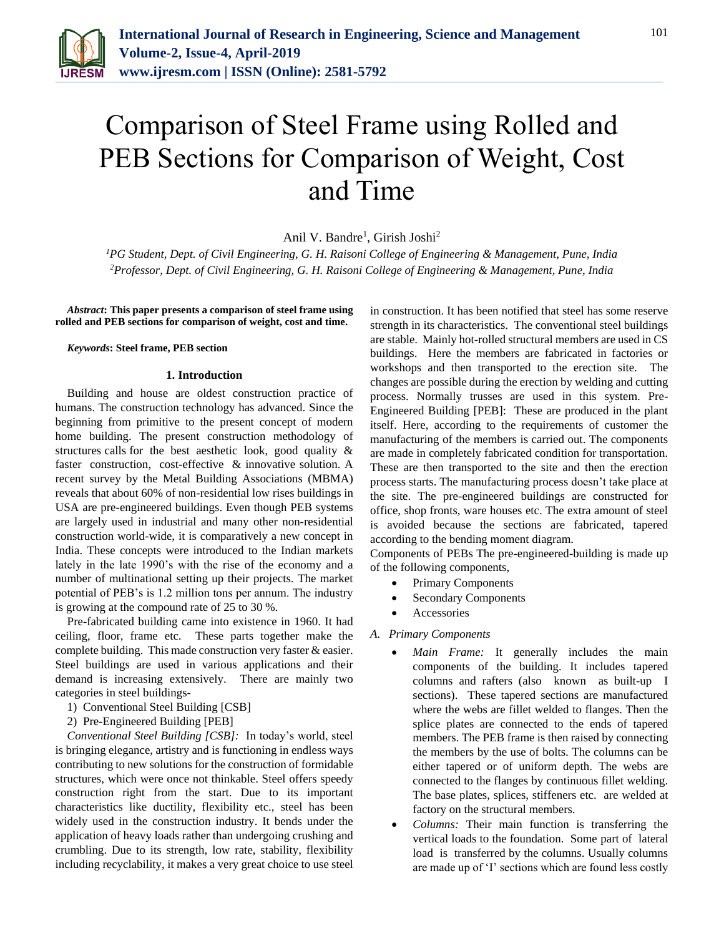

# Comparison of Steel Frame using Rolled and PEB Sections for Comparison of Weight, Cost and Time

Anil V. Bandre<sup>1</sup>, Girish Joshi<sup>2</sup>

*<sup>1</sup>PG Student, Dept. of Civil Engineering, G. H. Raisoni College of Engineering & Management, Pune, India 2Professor, Dept. of Civil Engineering, G. H. Raisoni College of Engineering & Management, Pune, India*

*Abstract***: This paper presents a comparison of steel frame using rolled and PEB sections for comparison of weight, cost and time.**

#### *Keywords***: Steel frame, PEB section**

#### **1. Introduction**

Building and house are oldest construction practice of humans. The construction technology has advanced. Since the beginning from primitive to the present concept of modern home building. The present construction methodology of structures calls for the best aesthetic look, good quality & faster construction, cost-effective & innovative solution. A recent survey by the Metal Building Associations (MBMA) reveals that about 60% of non-residential low rises buildings in USA are pre-engineered buildings. Even though PEB systems are largely used in industrial and many other non-residential construction world-wide, it is comparatively a new concept in India. These concepts were introduced to the Indian markets lately in the late 1990's with the rise of the economy and a number of multinational setting up their projects. The market potential of PEB's is 1.2 million tons per annum. The industry is growing at the compound rate of 25 to 30 %.

Pre-fabricated building came into existence in 1960. It had ceiling, floor, frame etc. These parts together make the complete building. This made construction very faster & easier. Steel buildings are used in various applications and their demand is increasing extensively. There are mainly two categories in steel buildings-

- 1) Conventional Steel Building [CSB]
- 2) Pre-Engineered Building [PEB]

*Conventional Steel Building [CSB]:* In today's world, steel is bringing elegance, artistry and is functioning in endless ways contributing to new solutions for the construction of formidable structures, which were once not thinkable. Steel offers speedy construction right from the start. Due to its important characteristics like ductility, flexibility etc., steel has been widely used in the construction industry. It bends under the application of heavy loads rather than undergoing crushing and crumbling. Due to its strength, low rate, stability, flexibility including recyclability, it makes a very great choice to use steel in construction. It has been notified that steel has some reserve strength in its characteristics. The conventional steel buildings are stable. Mainly hot-rolled structural members are used in CS buildings. Here the members are fabricated in factories or workshops and then transported to the erection site. The changes are possible during the erection by welding and cutting process. Normally trusses are used in this system. Pre-Engineered Building [PEB]: These are produced in the plant itself. Here, according to the requirements of customer the manufacturing of the members is carried out. The components are made in completely fabricated condition for transportation. These are then transported to the site and then the erection process starts. The manufacturing process doesn't take place at the site. The pre-engineered buildings are constructed for office, shop fronts, ware houses etc. The extra amount of steel is avoided because the sections are fabricated, tapered according to the bending moment diagram.

Components of PEBs The pre-engineered-building is made up of the following components,

- Primary Components
- Secondary Components
- Accessories

*A. Primary Components* 

- *Main Frame:* It generally includes the main components of the building. It includes tapered columns and rafters (also known as built-up I sections). These tapered sections are manufactured where the webs are fillet welded to flanges. Then the splice plates are connected to the ends of tapered members. The PEB frame is then raised by connecting the members by the use of bolts. The columns can be either tapered or of uniform depth. The webs are connected to the flanges by continuous fillet welding. The base plates, splices, stiffeners etc. are welded at factory on the structural members.
- *Columns:* Their main function is transferring the vertical loads to the foundation. Some part of lateral load is transferred by the columns. Usually columns are made up of 'I' sections which are found less costly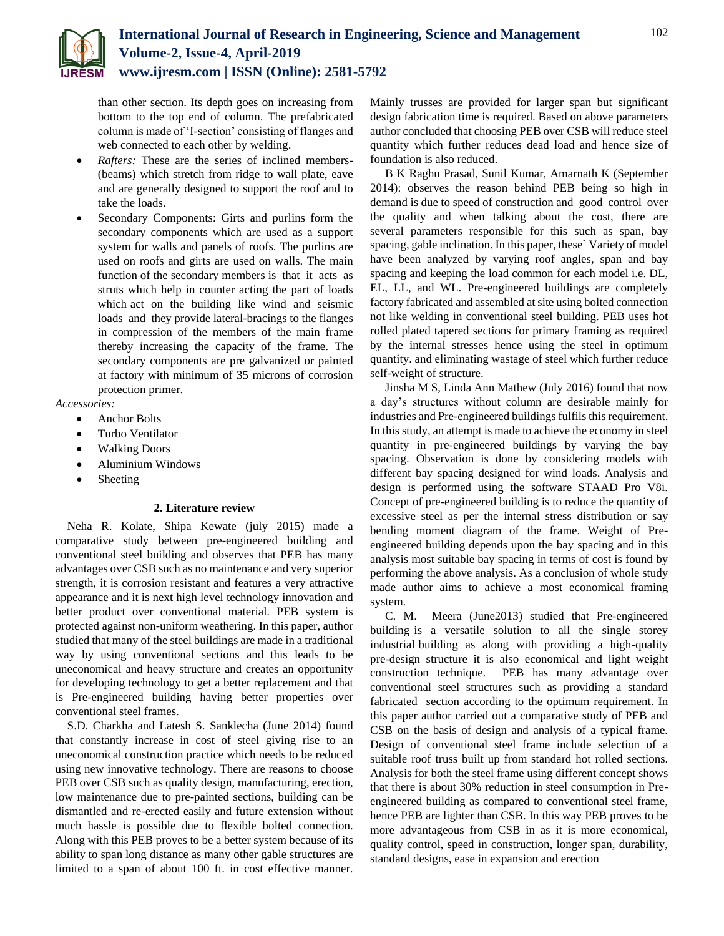

than other section. Its depth goes on increasing from bottom to the top end of column. The prefabricated column is made of 'I-section' consisting of flanges and web connected to each other by welding.

- *Rafters:* These are the series of inclined members- (beams) which stretch from ridge to wall plate, eave and are generally designed to support the roof and to take the loads.
- Secondary Components: Girts and purlins form the secondary components which are used as a support system for walls and panels of roofs. The purlins are used on roofs and girts are used on walls. The main function of the secondary members is that it acts as struts which help in counter acting the part of loads which act on the building like wind and seismic loads and they provide lateral-bracings to the flanges in compression of the members of the main frame thereby increasing the capacity of the frame. The secondary components are pre galvanized or painted at factory with minimum of 35 microns of corrosion protection primer.

*Accessories:*

- Anchor Bolts
- Turbo Ventilator
- Walking Doors
- Aluminium Windows
- Sheeting

# **2. Literature review**

Neha R. Kolate, Shipa Kewate (july 2015) made a comparative study between pre-engineered building and conventional steel building and observes that PEB has many advantages over CSB such as no maintenance and very superior strength, it is corrosion resistant and features a very attractive appearance and it is next high level technology innovation and better product over conventional material. PEB system is protected against non-uniform weathering. In this paper, author studied that many of the steel buildings are made in a traditional way by using conventional sections and this leads to be uneconomical and heavy structure and creates an opportunity for developing technology to get a better replacement and that is Pre-engineered building having better properties over conventional steel frames.

S.D. Charkha and Latesh S. Sanklecha (June 2014) found that constantly increase in cost of steel giving rise to an uneconomical construction practice which needs to be reduced using new innovative technology. There are reasons to choose PEB over CSB such as quality design, manufacturing, erection, low maintenance due to pre-painted sections, building can be dismantled and re-erected easily and future extension without much hassle is possible due to flexible bolted connection. Along with this PEB proves to be a better system because of its ability to span long distance as many other gable structures are limited to a span of about 100 ft. in cost effective manner.

Mainly trusses are provided for larger span but significant design fabrication time is required. Based on above parameters author concluded that choosing PEB over CSB will reduce steel quantity which further reduces dead load and hence size of foundation is also reduced.

B K Raghu Prasad, Sunil Kumar, Amarnath K (September 2014): observes the reason behind PEB being so high in demand is due to speed of construction and good control over the quality and when talking about the cost, there are several parameters responsible for this such as span, bay spacing, gable inclination. In this paper, these` Variety of model have been analyzed by varying roof angles, span and bay spacing and keeping the load common for each model i.e. DL, EL, LL, and WL. Pre-engineered buildings are completely factory fabricated and assembled at site using bolted connection not like welding in conventional steel building. PEB uses hot rolled plated tapered sections for primary framing as required by the internal stresses hence using the steel in optimum quantity. and eliminating wastage of steel which further reduce self-weight of structure.

Jinsha M S, Linda Ann Mathew (July 2016) found that now a day's structures without column are desirable mainly for industries and Pre-engineered buildings fulfils this requirement. In this study, an attempt is made to achieve the economy in steel quantity in pre-engineered buildings by varying the bay spacing. Observation is done by considering models with different bay spacing designed for wind loads. Analysis and design is performed using the software STAAD Pro V8i. Concept of pre-engineered building is to reduce the quantity of excessive steel as per the internal stress distribution or say bending moment diagram of the frame. Weight of Preengineered building depends upon the bay spacing and in this analysis most suitable bay spacing in terms of cost is found by performing the above analysis. As a conclusion of whole study made author aims to achieve a most economical framing system.

C. M. Meera (June2013) studied that Pre-engineered building is a versatile solution to all the single storey industrial building as along with providing a high-quality pre-design structure it is also economical and light weight construction technique. PEB has many advantage over conventional steel structures such as providing a standard fabricated section according to the optimum requirement. In this paper author carried out a comparative study of PEB and CSB on the basis of design and analysis of a typical frame. Design of conventional steel frame include selection of a suitable roof truss built up from standard hot rolled sections. Analysis for both the steel frame using different concept shows that there is about 30% reduction in steel consumption in Preengineered building as compared to conventional steel frame, hence PEB are lighter than CSB. In this way PEB proves to be more advantageous from CSB in as it is more economical, quality control, speed in construction, longer span, durability, standard designs, ease in expansion and erection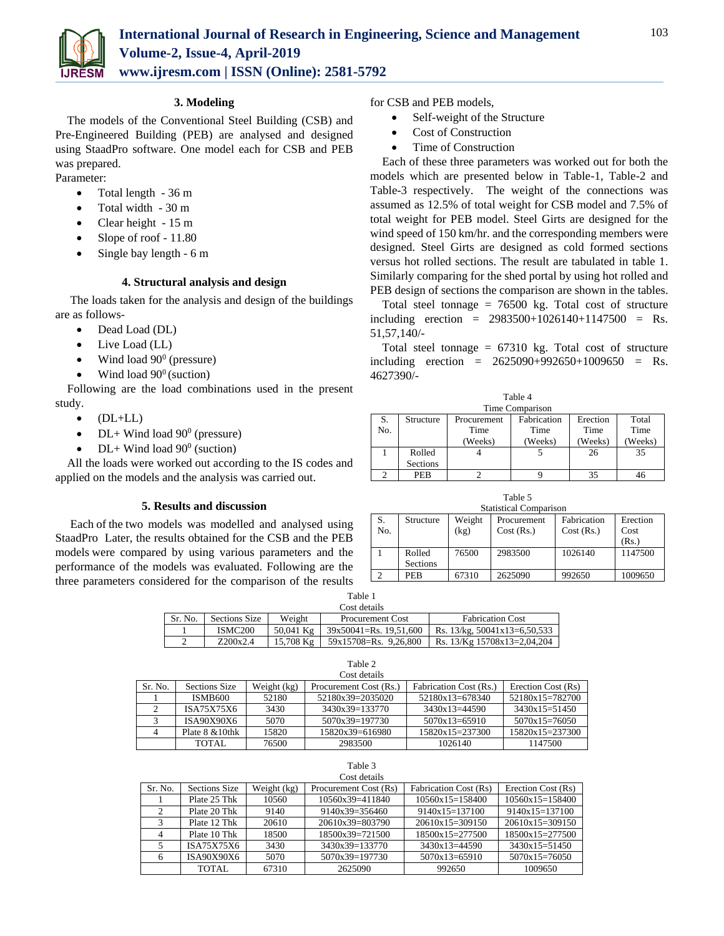

# **3. Modeling**

The models of the Conventional Steel Building (CSB) and Pre-Engineered Building (PEB) are analysed and designed using StaadPro software. One model each for CSB and PEB was prepared.

- Parameter:
	- Total length 36 m
	- Total width 30 m
	- Clear height 15 m
	- Slope of roof 11.80
	- $\bullet$  Single bay length 6 m

# **4. Structural analysis and design**

The loads taken for the analysis and design of the buildings are as follows-

- Dead Load (DL)
- Live Load (LL)
- Wind load  $90^{\circ}$  (pressure)
- Wind load  $90^{\circ}$  (suction)

Following are the load combinations used in the present study.

- $\bullet$  (DL+LL)
- DL+ Wind load  $90^{\circ}$  (pressure)
- DL+ Wind load  $90^{\circ}$  (suction)

All the loads were worked out according to the IS codes and applied on the models and the analysis was carried out.

# **5. Results and discussion**

Each of the two models was modelled and analysed using StaadPro Later, the results obtained for the CSB and the PEB models were compared by using various parameters and the performance of the models was evaluated. Following are the three parameters considered for the comparison of the results for CSB and PEB models,

- Self-weight of the Structure
- Cost of Construction
- Time of Construction

Each of these three parameters was worked out for both the models which are presented below in Table-1, Table-2 and Table-3 respectively. The weight of the connections was assumed as 12.5% of total weight for CSB model and 7.5% of total weight for PEB model. Steel Girts are designed for the wind speed of 150 km/hr. and the corresponding members were designed. Steel Girts are designed as cold formed sections versus hot rolled sections. The result are tabulated in table 1. Similarly comparing for the shed portal by using hot rolled and PEB design of sections the comparison are shown in the tables.

Total steel tonnage  $= 76500$  kg. Total cost of structure including erection = 2983500+1026140+1147500 = Rs. 51,57,140/-

Total steel tonnage  $= 67310$  kg. Total cost of structure including erection =  $2625090+992650+1009650$  = Rs. 4627390/-

| Table 4         |                 |                            |         |          |         |  |  |
|-----------------|-----------------|----------------------------|---------|----------|---------|--|--|
| Time Comparison |                 |                            |         |          |         |  |  |
| S.              | Structure       | Fabrication<br>Procurement |         | Erection | Total   |  |  |
| No.             |                 | Time                       | Time    | Time     | Time    |  |  |
|                 |                 | (Weeks)                    | (Weeks) | (Weeks)  | (Weeks) |  |  |
|                 | Rolled          |                            |         | 26       | 35      |  |  |
|                 | <b>Sections</b> |                            |         |          |         |  |  |
|                 | <b>PEB</b>      |                            |         | 35       | 46      |  |  |

Table 5 Statistical Comparison S. No. Structure Weight (kg) Procurement Cost (Rs.) Fabrication Cost (Rs.) Erection Cost (Rs.) 1 Rolled Sections 76500 2983500 1026140 1147500 2 **PEB** 67310 2625090 992650 1009650

| Table 1      |                     |           |                            |                                   |  |
|--------------|---------------------|-----------|----------------------------|-----------------------------------|--|
| Cost details |                     |           |                            |                                   |  |
| Sr. No.      | Sections Size       | Weight    | <b>Procurement Cost</b>    | <b>Fabrication Cost</b>           |  |
|              | ISMC <sub>200</sub> | 50.041 Kg | $39x50041 = Rs. 19.51.600$ | Rs. $13/kg$ , $50041x13=6,50,533$ |  |
|              | Z200x2.4            | 15.708 Kg | 59x15708=Rs. 9,26,800      | Rs. 13/Kg 15708x13=2,04,204       |  |

Table 2

| Cost details |                     |             |                        |                        |                    |
|--------------|---------------------|-------------|------------------------|------------------------|--------------------|
| Sr. No.      | Sections Size       | Weight (kg) | Procurement Cost (Rs.) | Fabrication Cost (Rs.) | Erection Cost (Rs) |
|              | <b>ISMB600</b>      | 52180       | 52180x39=2035020       | $52180x13=678340$      | 52180x15=782700    |
|              | ISA75X75X6          | 3430        | 3430x39=133770         | $3430x13=44590$        | $3430x15=51450$    |
|              | ISA90X90X6          | 5070        | $5070x39=197730$       | $5070x13=65910$        | $5070x15=76050$    |
|              | Plate $8 \& 10$ thk | 15820       | 15820x39=616980        | $15820x15=237300$      | $15820x15=237300$  |
|              | TOTAL               | 76500       | 2983500                | 1026140                | 1147500            |

#### Table 3 Cost details

| COSE HULLAIDS |               |             |                       |                              |                    |
|---------------|---------------|-------------|-----------------------|------------------------------|--------------------|
| Sr. No.       | Sections Size | Weight (kg) | Procurement Cost (Rs) | <b>Fabrication Cost (Rs)</b> | Erection Cost (Rs) |
|               | Plate 25 Thk  | 10560       | 10560x39=411840       | $10560x15=158400$            | $10560x15=158400$  |
|               | Plate 20 Thk  | 9140        | $9140x39=356460$      | $9140x15=137100$             | $9140x15=137100$   |
|               | Plate 12 Thk  | 20610       | $20610x39=803790$     | $20610x15=309150$            | $20610x15=309150$  |
|               | Plate 10 Thk  | 18500       | 18500x39=721500       | $18500x15=277500$            | $18500x15=277500$  |
|               | ISA75X75X6    | 3430        | 3430x39=133770        | $3430x13=44590$              | $3430x15=51450$    |
|               | ISA90X90X6    | 5070        | 5070x39=197730        | $5070x13=65910$              | $5070x15=76050$    |
|               | TOTAL         | 67310       | 2625090               | 992650                       | 1009650            |